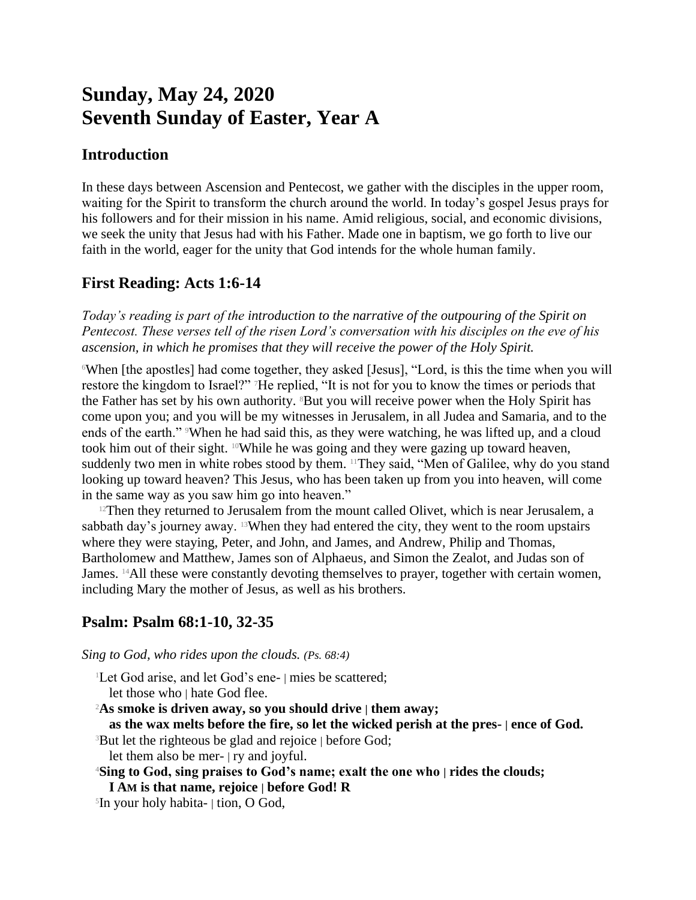# **Sunday, May 24, 2020 Seventh Sunday of Easter, Year A**

## **Introduction**

In these days between Ascension and Pentecost, we gather with the disciples in the upper room, waiting for the Spirit to transform the church around the world. In today's gospel Jesus prays for his followers and for their mission in his name. Amid religious, social, and economic divisions, we seek the unity that Jesus had with his Father. Made one in baptism, we go forth to live our faith in the world, eager for the unity that God intends for the whole human family.

# **First Reading: Acts 1:6-14**

*Today's reading is part of the introduction to the narrative of the outpouring of the Spirit on Pentecost. These verses tell of the risen Lord's conversation with his disciples on the eve of his ascension, in which he promises that they will receive the power of the Holy Spirit.*

<sup>6</sup>When [the apostles] had come together, they asked [Jesus], "Lord, is this the time when you will restore the kingdom to Israel?" 7He replied, "It is not for you to know the times or periods that the Father has set by his own authority. <sup>8</sup>But you will receive power when the Holy Spirit has come upon you; and you will be my witnesses in Jerusalem, in all Judea and Samaria, and to the ends of the earth." When he had said this, as they were watching, he was lifted up, and a cloud took him out of their sight. 10While he was going and they were gazing up toward heaven, suddenly two men in white robes stood by them. <sup>11</sup>They said, "Men of Galilee, why do you stand looking up toward heaven? This Jesus, who has been taken up from you into heaven, will come in the same way as you saw him go into heaven."

 $12$ Then they returned to Jerusalem from the mount called Olivet, which is near Jerusalem, a sabbath day's journey away. 13When they had entered the city, they went to the room upstairs where they were staying, Peter, and John, and James, and Andrew, Philip and Thomas, Bartholomew and Matthew, James son of Alphaeus, and Simon the Zealot, and Judas son of James. 14All these were constantly devoting themselves to prayer, together with certain women, including Mary the mother of Jesus, as well as his brothers.

## **Psalm: Psalm 68:1-10, 32-35**

*Sing to God, who rides upon the clouds. (Ps. 68:4)*

<sup>1</sup>Let God arise, and let God's ene- | mies be scattered; let those who | hate God flee. <sup>2</sup>**As smoke is driven away, so you should drive | them away; as the wax melts before the fire, so let the wicked perish at the pres- | ence of God.** <sup>3</sup>But let the righteous be glad and rejoice | before God; let them also be mer- | ry and joyful. <sup>4</sup>**Sing to God, sing praises to God's name; exalt the one who | rides the clouds; I AM is that name, rejoice | before God! R** 5 In your holy habita- | tion, O God,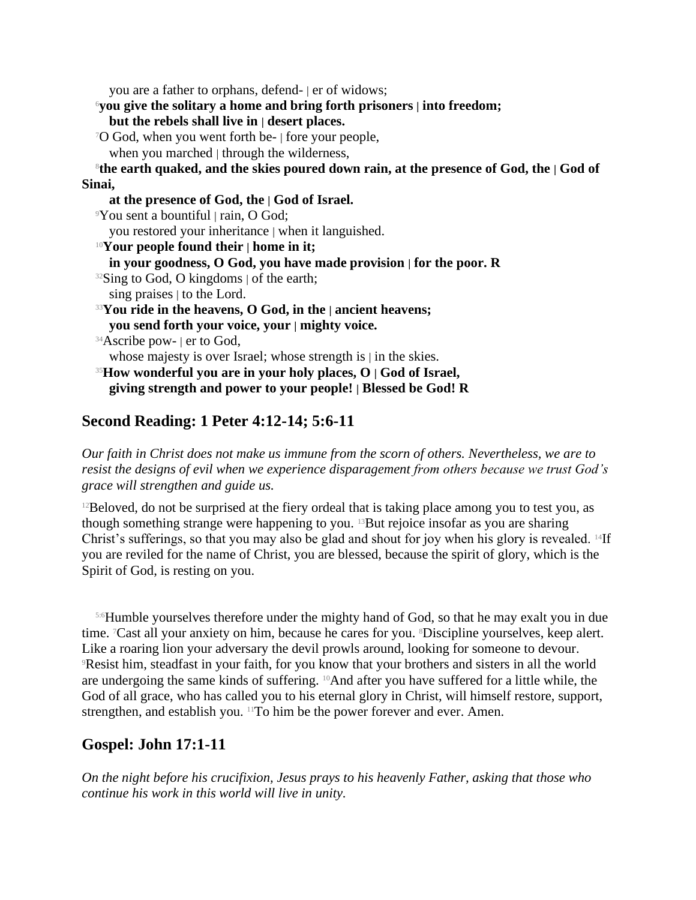you are a father to orphans, defend- | er of widows;

<sup>6</sup>**you give the solitary a home and bring forth prisoners | into freedom;**

**but the rebels shall live in | desert places.**

<sup>7</sup>O God, when you went forth be- | fore your people,

when you marched | through the wilderness,

8 **the earth quaked, and the skies poured down rain, at the presence of God, the | God of Sinai,**

**at the presence of God, the | God of Israel.** <sup>9</sup>You sent a bountiful | rain, O God; you restored your inheritance | when it languished. <sup>10</sup>**Your people found their | home in it; in your goodness, O God, you have made provision | for the poor. R**  $32$ Sing to God, O kingdoms  $\vert$  of the earth; sing praises | to the Lord. <sup>33</sup>**You ride in the heavens, O God, in the | ancient heavens; you send forth your voice, your | mighty voice.** <sup>34</sup>Ascribe pow- | er to God, whose majesty is over Israel; whose strength is  $|$  in the skies. <sup>35</sup>**How wonderful you are in your holy places, O | God of Israel, giving strength and power to your people! | Blessed be God! R**

# **Second Reading: 1 Peter 4:12-14; 5:6-11**

*Our faith in Christ does not make us immune from the scorn of others. Nevertheless, we are to resist the designs of evil when we experience disparagement from others because we trust God's grace will strengthen and guide us.*

 $12$ Beloved, do not be surprised at the fiery ordeal that is taking place among you to test you, as though something strange were happening to you. 13But rejoice insofar as you are sharing Christ's sufferings, so that you may also be glad and shout for joy when his glory is revealed.  $^{14}$ If you are reviled for the name of Christ, you are blessed, because the spirit of glory, which is the Spirit of God, is resting on you.

5:6Humble yourselves therefore under the mighty hand of God, so that he may exalt you in due time. 7Cast all your anxiety on him, because he cares for you. 8Discipline yourselves, keep alert. Like a roaring lion your adversary the devil prowls around, looking for someone to devour. <sup>9</sup>Resist him, steadfast in your faith, for you know that your brothers and sisters in all the world are undergoing the same kinds of suffering. 10And after you have suffered for a little while, the God of all grace, who has called you to his eternal glory in Christ, will himself restore, support, strengthen, and establish you. 11To him be the power forever and ever. Amen.

# **Gospel: John 17:1-11**

*On the night before his crucifixion, Jesus prays to his heavenly Father, asking that those who continue his work in this world will live in unity.*